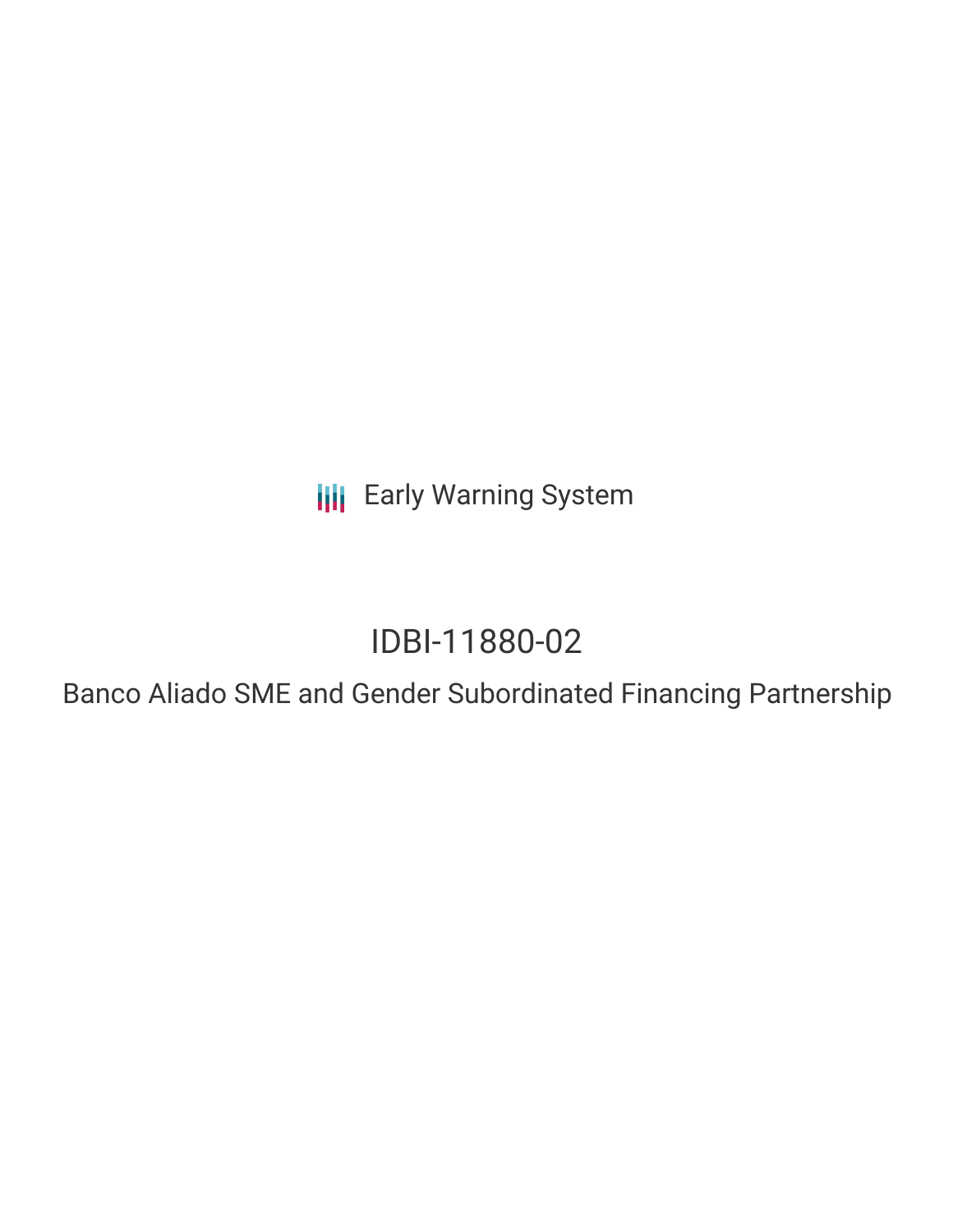**III** Early Warning System

# IDBI-11880-02

Banco Aliado SME and Gender Subordinated Financing Partnership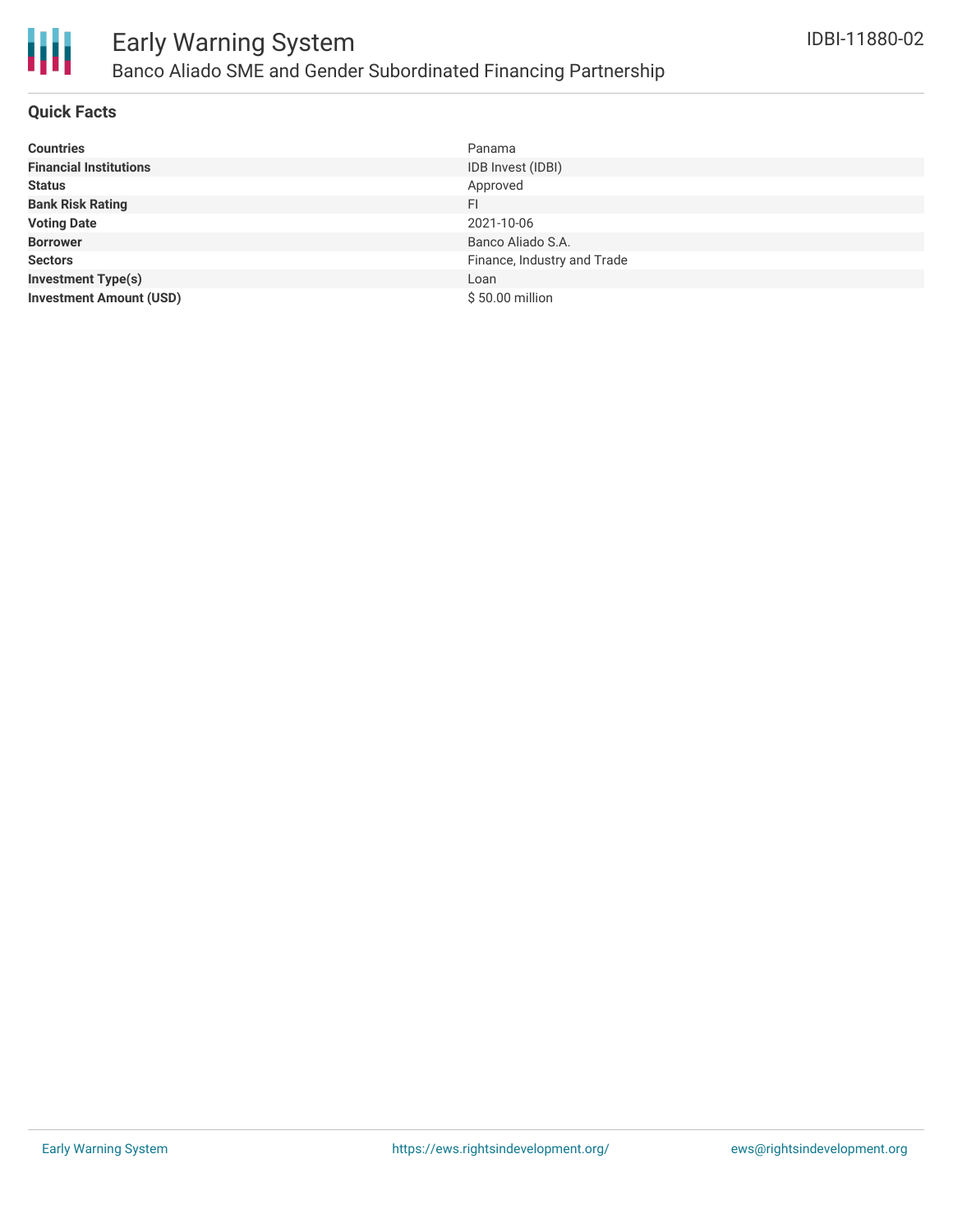

# **Quick Facts**

| <b>Countries</b>               | Panama                      |
|--------------------------------|-----------------------------|
| <b>Financial Institutions</b>  | IDB Invest (IDBI)           |
| <b>Status</b>                  | Approved                    |
| <b>Bank Risk Rating</b>        | FI                          |
| <b>Voting Date</b>             | 2021-10-06                  |
| <b>Borrower</b>                | Banco Aliado S.A.           |
| <b>Sectors</b>                 | Finance, Industry and Trade |
| <b>Investment Type(s)</b>      | Loan                        |
| <b>Investment Amount (USD)</b> | \$50.00 million             |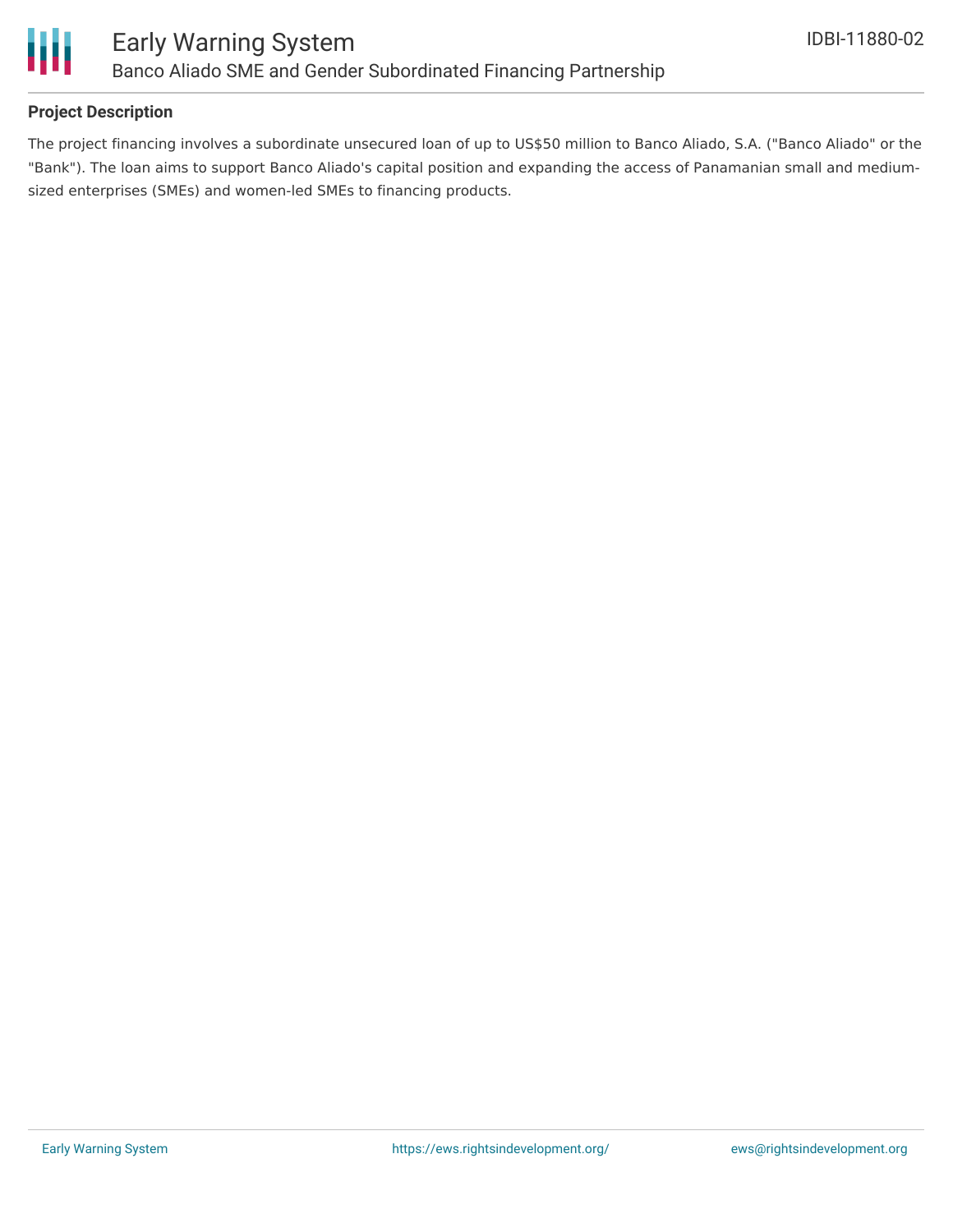

# **Project Description**

The project financing involves a subordinate unsecured loan of up to US\$50 million to Banco Aliado, S.A. ("Banco Aliado" or the "Bank"). The loan aims to support Banco Aliado's capital position and expanding the access of Panamanian small and mediumsized enterprises (SMEs) and women-led SMEs to financing products.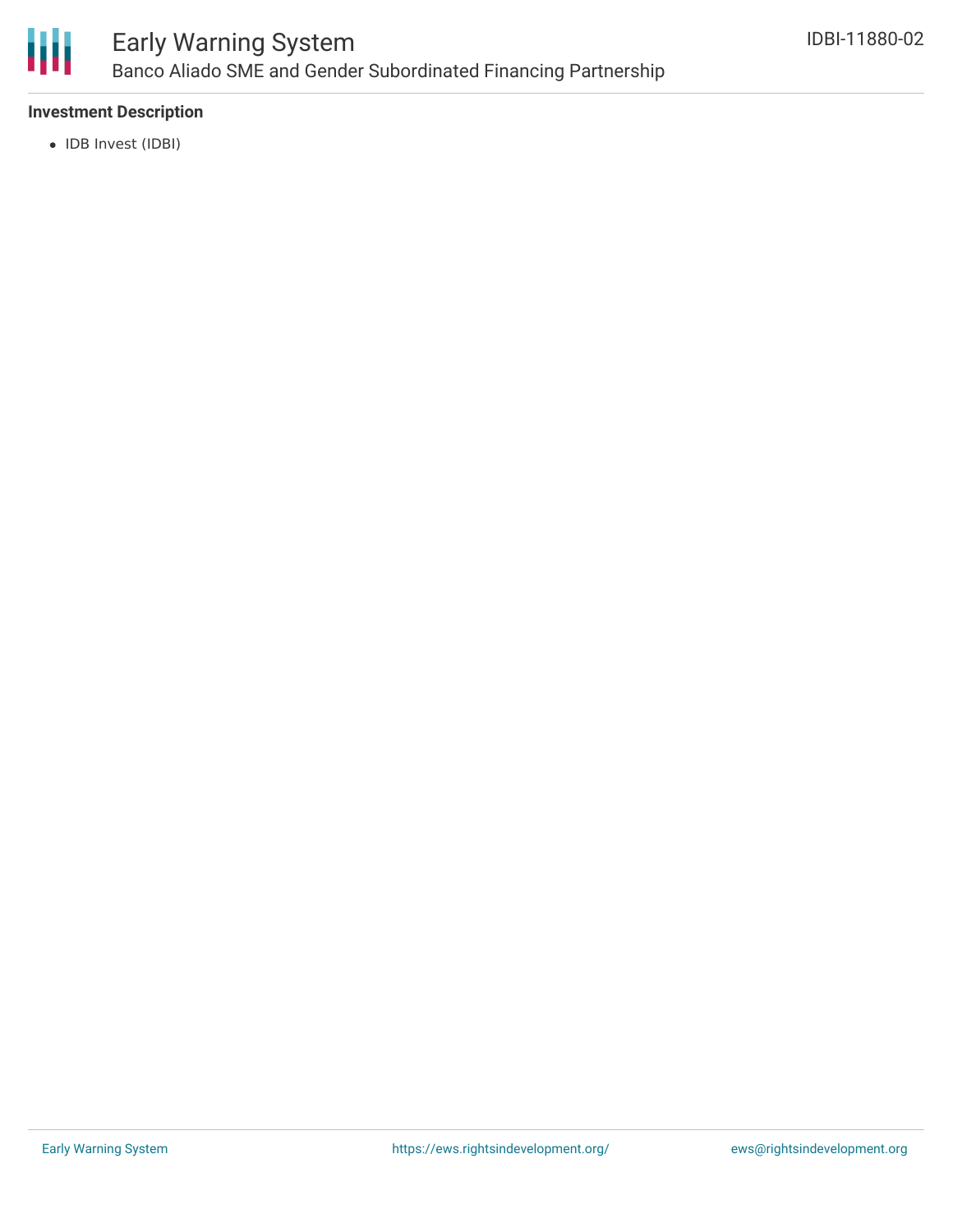

## **Investment Description**

• IDB Invest (IDBI)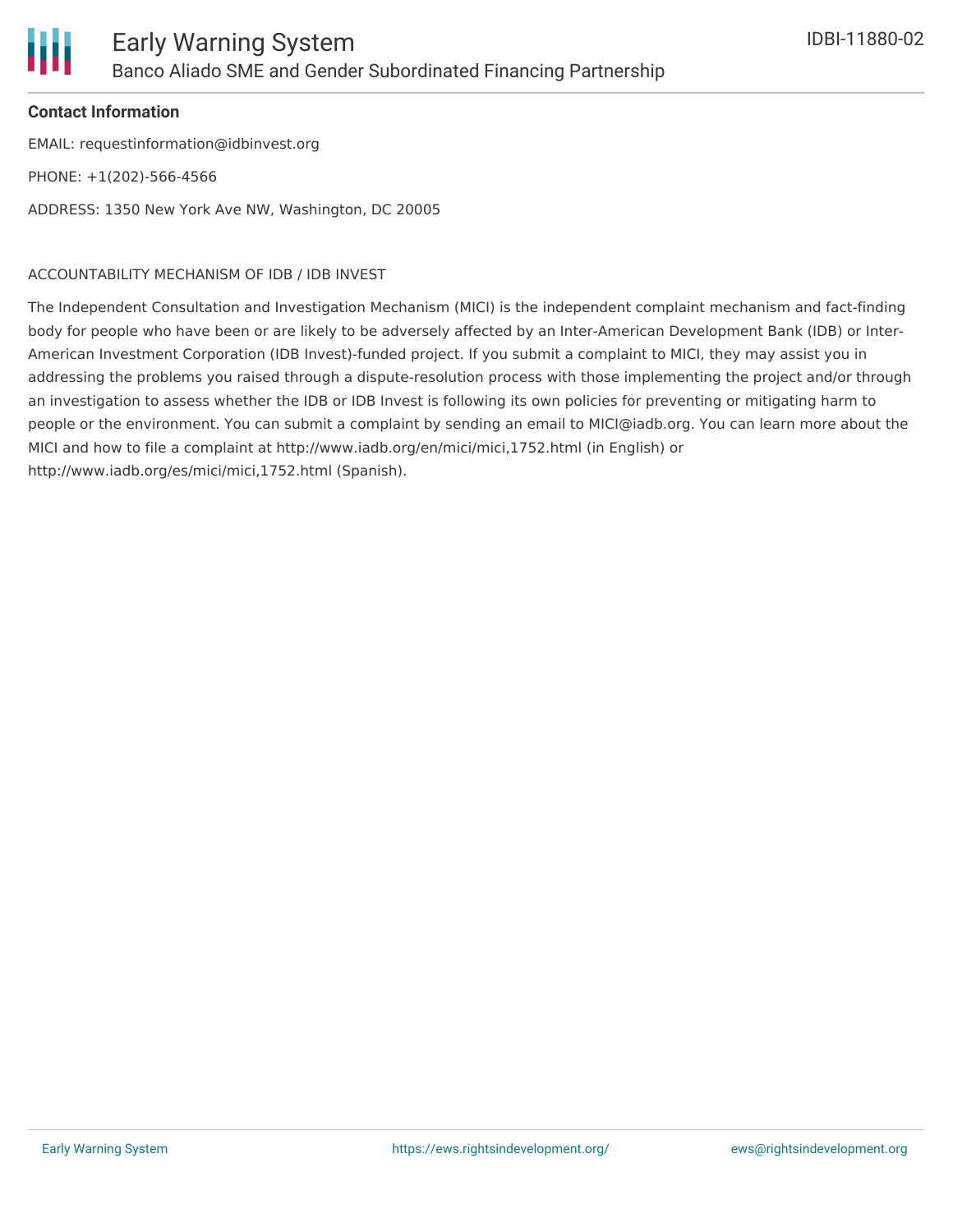

## **Contact Information**

EMAIL: requestinformation@idbinvest.org PHONE: +1(202)-566-4566 ADDRESS: 1350 New York Ave NW, Washington, DC 20005

## ACCOUNTABILITY MECHANISM OF IDB / IDB INVEST

The Independent Consultation and Investigation Mechanism (MICI) is the independent complaint mechanism and fact-finding body for people who have been or are likely to be adversely affected by an Inter-American Development Bank (IDB) or Inter-American Investment Corporation (IDB Invest)-funded project. If you submit a complaint to MICI, they may assist you in addressing the problems you raised through a dispute-resolution process with those implementing the project and/or through an investigation to assess whether the IDB or IDB Invest is following its own policies for preventing or mitigating harm to people or the environment. You can submit a complaint by sending an email to MICI@iadb.org. You can learn more about the MICI and how to file a complaint at http://www.iadb.org/en/mici/mici,1752.html (in English) or http://www.iadb.org/es/mici/mici,1752.html (Spanish).